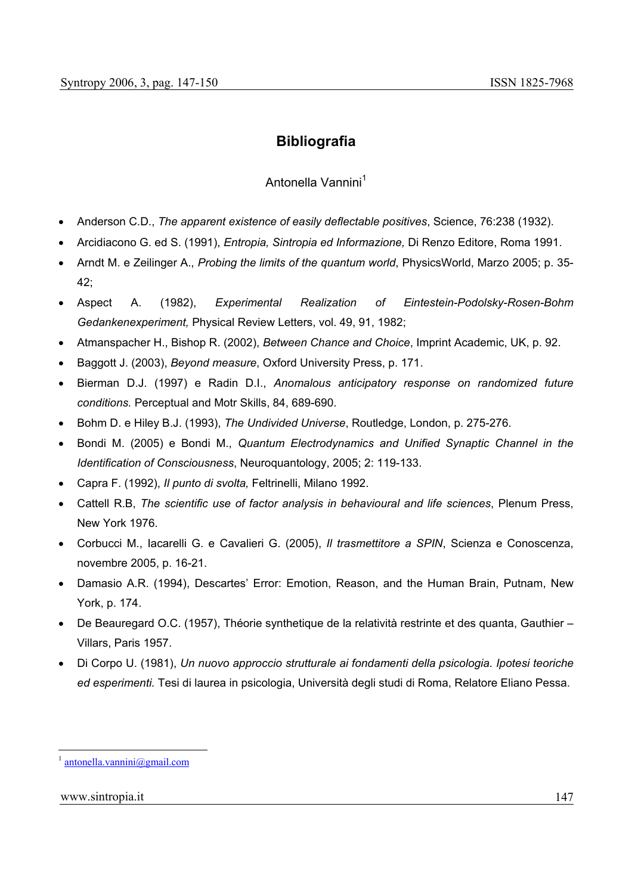## **Bibliografia**

## Antonella Vannini<sup>1</sup>

- Anderson C.D., *The apparent existence of easily deflectable positives*, Science, 76:238 (1932).
- Arcidiacono G. ed S. (1991), *Entropia, Sintropia ed Informazione,* Di Renzo Editore, Roma 1991.
- Arndt M. e Zeilinger A., *Probing the limits of the quantum world*, PhysicsWorld, Marzo 2005; p. 35- 42;
- Aspect A. (1982), *Experimental Realization of Eintestein-Podolsky-Rosen-Bohm Gedankenexperiment,* Physical Review Letters, vol. 49, 91, 1982;
- Atmanspacher H., Bishop R. (2002), *Between Chance and Choice*, Imprint Academic, UK, p. 92.
- Baggott J. (2003), *Beyond measure*, Oxford University Press, p. 171.
- Bierman D.J. (1997) e Radin D.I., *Anomalous anticipatory response on randomized future conditions.* Perceptual and Motr Skills, 84, 689-690.
- Bohm D. e Hiley B.J. (1993), *The Undivided Universe*, Routledge, London, p. 275-276.
- Bondi M. (2005) e Bondi M., *Quantum Electrodynamics and Unified Synaptic Channel in the Identification of Consciousness*, Neuroquantology, 2005; 2: 119-133.
- Capra F. (1992), *Il punto di svolta,* Feltrinelli, Milano 1992.
- Cattell R.B, *The scientific use of factor analysis in behavioural and life sciences*, Plenum Press, New York 1976.
- Corbucci M., Iacarelli G. e Cavalieri G. (2005), *Il trasmettitore a SPIN*, Scienza e Conoscenza, novembre 2005, p. 16-21.
- Damasio A.R. (1994), Descartes' Error: Emotion, Reason, and the Human Brain, Putnam, New York, p. 174.
- De Beauregard O.C. (1957), Théorie synthetique de la relatività restrinte et des quanta, Gauthier Villars, Paris 1957.
- Di Corpo U. (1981), *Un nuovo approccio strutturale ai fondamenti della psicologia. Ipotesi teoriche ed esperimenti.* Tesi di laurea in psicologia, Università degli studi di Roma, Relatore Eliano Pessa.

 $antonella.vannini@gmail.com$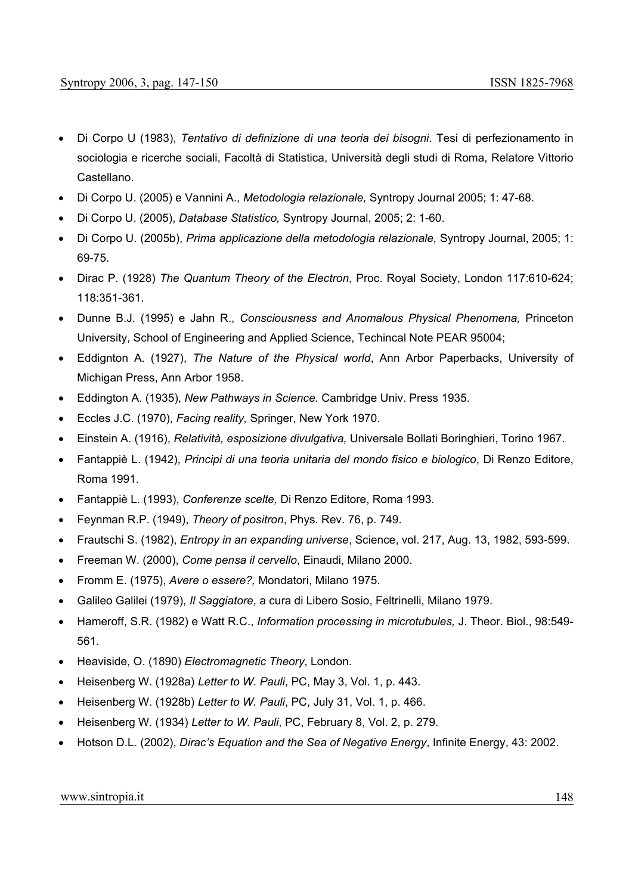- Di Corpo U (1983), *Tentativo di definizione di una teoria dei bisogni*. Tesi di perfezionamento in sociologia e ricerche sociali, Facoltà di Statistica, Università degli studi di Roma, Relatore Vittorio Castellano.
- Di Corpo U. (2005) e Vannini A., *Metodologia relazionale,* Syntropy Journal 2005; 1: 47-68.
- Di Corpo U. (2005), *Database Statistico,* Syntropy Journal, 2005; 2: 1-60.
- Di Corpo U. (2005b), *Prima applicazione della metodologia relazionale,* Syntropy Journal, 2005; 1: 69-75.
- Dirac P. (1928) *The Quantum Theory of the Electron*, Proc. Royal Society, London 117:610-624; 118:351-361.
- Dunne B.J. (1995) e Jahn R., *Consciousness and Anomalous Physical Phenomena,* Princeton University, School of Engineering and Applied Science, Techincal Note PEAR 95004;
- Eddignton A. (1927), *The Nature of the Physical world*, Ann Arbor Paperbacks, University of Michigan Press, Ann Arbor 1958.
- Eddington A. (1935), *New Pathways in Science.* Cambridge Univ. Press 1935.
- Eccles J.C. (1970), *Facing reality,* Springer, New York 1970.
- Einstein A. (1916), *Relatività, esposizione divulgativa,* Universale Bollati Boringhieri, Torino 1967.
- Fantappiè L. (1942), *Principi di una teoria unitaria del mondo fisico e biologico*, Di Renzo Editore, Roma 1991.
- Fantappiè L. (1993), *Conferenze scelte,* Di Renzo Editore, Roma 1993.
- Feynman R.P. (1949), *Theory of positron*, Phys. Rev. 76, p. 749.
- Frautschi S. (1982), *Entropy in an expanding universe*, Science, vol. 217, Aug. 13, 1982, 593-599.
- Freeman W. (2000), *Come pensa il cervello*, Einaudi, Milano 2000.
- Fromm E. (1975), *Avere o essere?,* Mondatori, Milano 1975.
- Galileo Galilei (1979), *Il Saggiatore,* a cura di Libero Sosio, Feltrinelli, Milano 1979.
- Hameroff, S.R. (1982) e Watt R.C., *Information processing in microtubules,* J. Theor. Biol., 98:549- 561.
- Heaviside, O. (1890) *Electromagnetic Theory*, London.
- Heisenberg W. (1928a) *Letter to W. Pauli*, PC, May 3, Vol. 1, p. 443.
- Heisenberg W. (1928b) *Letter to W. Pauli*, PC, July 31, Vol. 1, p. 466.
- Heisenberg W. (1934) *Letter to W. Pauli*, PC, February 8, Vol. 2, p. 279.
- Hotson D.L. (2002), *Dirac's Equation and the Sea of Negative Energy*, Infinite Energy, 43: 2002.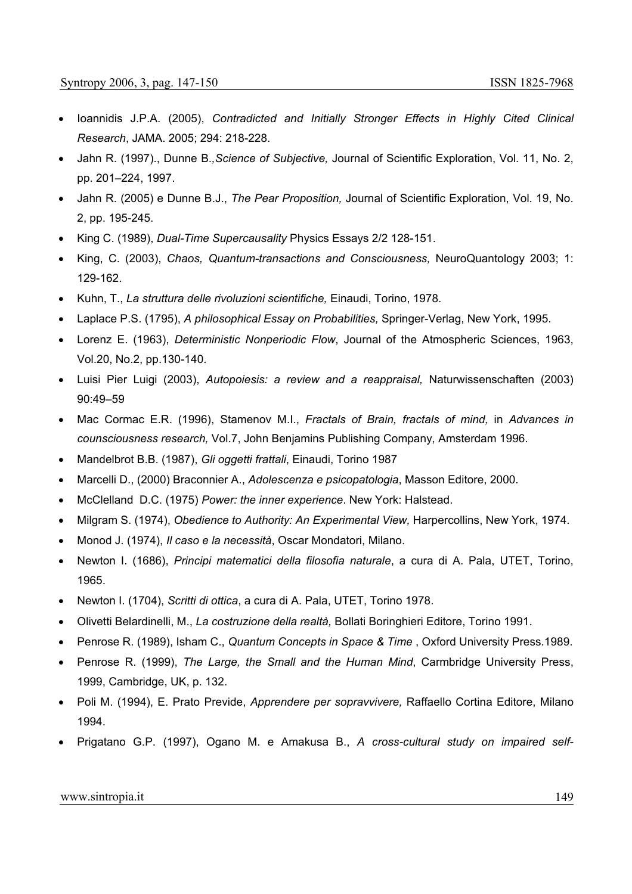- Ioannidis J.P.A. (2005), *Contradicted and Initially Stronger Effects in Highly Cited Clinical Research*, JAMA. 2005; 294: 218-228.
- Jahn R. (1997)., Dunne B.*,Science of Subjective,* Journal of Scientific Exploration, Vol. 11, No. 2, pp. 201–224, 1997.
- Jahn R. (2005) e Dunne B.J., *The Pear Proposition,* Journal of Scientific Exploration, Vol. 19, No. 2, pp. 195-245.
- King C. (1989), *Dual-Time Supercausality* Physics Essays 2/2 128-151.
- King, C. (2003), *Chaos, Quantum-transactions and Consciousness,* NeuroQuantology 2003; 1: 129-162.
- Kuhn, T., *La struttura delle rivoluzioni scientifiche,* Einaudi, Torino, 1978.
- Laplace P.S. (1795), *A philosophical Essay on Probabilities,* Springer-Verlag, New York, 1995.
- Lorenz E. (1963), *Deterministic Nonperiodic Flow*, Journal of the Atmospheric Sciences, 1963, Vol.20, No.2, pp.130-140.
- Luisi Pier Luigi (2003), *Autopoiesis: a review and a reappraisal,* Naturwissenschaften (2003) 90:49–59
- Mac Cormac E.R. (1996), Stamenov M.I., *Fractals of Brain, fractals of mind,* in *Advances in counsciousness research,* Vol.7, John Benjamins Publishing Company, Amsterdam 1996.
- Mandelbrot B.B. (1987), *Gli oggetti frattali*, Einaudi, Torino 1987
- Marcelli D., (2000) Braconnier A., *Adolescenza e psicopatologia*, Masson Editore, 2000.
- McClelland D.C. (1975) *Power: the inner experience*. New York: Halstead.
- Milgram S. (1974), *Obedience to Authority: An Experimental View,* Harpercollins, New York, 1974.
- Monod J. (1974), *Il caso e la necessità*, Oscar Mondatori, Milano.
- Newton I. (1686), *Principi matematici della filosofia naturale*, a cura di A. Pala, UTET, Torino, 1965.
- Newton I. (1704), *Scritti di ottica*, a cura di A. Pala, UTET, Torino 1978.
- Olivetti Belardinelli, M., *La costruzione della realtà,* Bollati Boringhieri Editore, Torino 1991.
- Penrose R. (1989), Isham C., *Quantum Concepts in Space & Time* , Oxford University Press.1989.
- Penrose R. (1999), *The Large, the Small and the Human Mind*, Carmbridge University Press, 1999, Cambridge, UK, p. 132.
- Poli M. (1994), E. Prato Previde, *Apprendere per sopravvivere,* Raffaello Cortina Editore, Milano 1994.
- Prigatano G.P. (1997), Ogano M. e Amakusa B., *A cross-cultural study on impaired self-*